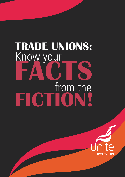# Know your from the **FACTS FICTION! TRADE UNIONS:**

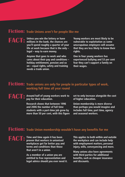#### **Fiction: Trade Unions aren't for people like me**

**FACT: Unless you win the lottery or have millions in the bank, the chances are you'll spend roughly a quarter of your life at work because that is the only – legal – way to earn money.**

> **Anyone that goes to work and who cares about their pay and conditions – holiday entitlement, pension and so on – equal rights, safety and training needs a trade union.**

**Young workers are most likely to be vulnerable to exploitation as some unscrupulous employers will assume that they are less likely to know their rights.**

**One in four young workers has experienced bullying and 53 per cent fear they can't support a family on their wages.**

#### **Fiction: Trade unions are only for people in particular types of work, working full time all year round**

**FACT: Around half of young workers work to pay for their education.**

> **Research shows that between 1996 and 2006 the number of full time students with a part-time job grew by more than 50 per cent, with this figure**

**set to only increase alongside the cost of higher education.**

**Union membership is more diverse than perhaps you would imagine and includes full time, part time, agency and seasonal workers.**

#### **Fiction: Trade Union membership wouldn't have any benefits for me**

**FACT: Time and time again it has been proven that workers in unionised workplaces get far better pay and terms and conditions than those that aren't in a union.**

> **As a member of a union you are entitled to free representation and legal advice should you ever need it.**

**This applies to both within and outside the workplace and can include help with employment matters, personal injury, wills, conveyancing and more.**

**Many unions also have agreements with third parties for additional benefits, such as cheaper insurance and discounts.**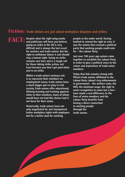#### **Fiction: Trade Unions are just about workplace disputes and strikes**

**FACT: Despite what the right wing media and politicians will have you believe, going on strike in the UK is very difficult and is always the last resort for workers and trade unions. But the right to withdraw labour is and should stay a human right. Going on strike remains rare here and is a tough call for those taking strike action, not least because you don't get paid when you're on strike.**

> **Whilst a trade union's primary role is to represent their members on employment issues, trade unions have a much bigger part to play in civil society. Trade unions offer educational, lifelong learning and training opportunities to their members, many of whom would have not had this chance had it not been for their union.**

> **Historically, trade unions have not only negotiated for and championed better workplace rights with employers but for a better deal for working**

**people in the wider world. Having battled to extend the right to vote, it was the unions that created a political party that working people could vote for – the Labour Party.**

**Just over 100 years ago unions came together to establish the Labour Party in order to give a political voice to the values and aspirations of trade union members.**

**Today that link remains strong with fifteen trade unions affiliated to the Labour Party. Labour's key achievements in government – the welfare state, the NHS, the minimum wage, the right to union recognition to name but a few – have made a real difference to the lives of union members and the Labour Party benefits from having a direct connection to working people through the trade unions.**